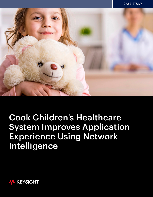

# Cook Children's Healthcare System Improves Application Experience Using Network Intelligence

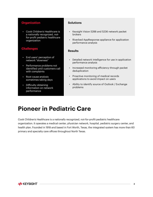### **Organization**

• Cook Children's Healthcare is a nationally recognized, notfor-profit pediatric healthcare organization

#### **Challenges**

- End users' perception of network "slowness"
- Performance problems not identified until customers call with complaints
- Root cause analysis sometimes taking days
- Difficulty obtaining information on network performance

#### **Solutions**

- Keysight Vision 5288 and 5236 network packet brokers
- Riverbed AppResponse appliance for application performance analysis

#### **Results**

- Detailed network intelligence for use in application performance analysis
- Increased monitoring efficiency through packet deduplication
- Proactive monitoring of medical records applications to avoid impact on users
- Ability to identify source of Outlook / Exchange problems

### **Pioneer in Pediatric Care**

Cook Children's Healthcare is a nationally recognized, not-for-profit pediatric healthcare organization. It operates a medical center, physician network, hospital, pediatric surgery center, and health plan. Founded in 1918 and based in Fort Worth, Texas, the integrated system has more than 60 primary and specialty care offices throughout North Texas.

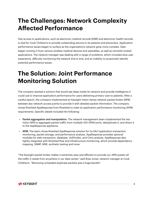### **The Challenges: Network Complexity Affected Performance**

Fast access to applications, such as electronic medical records (EMR) and electronic health records, is vital for Cook Children's to provide outstanding service to its patients and physicians. Application performance issues began to surface as the organization's network grew more complex. Data began coming in from various wireless medical devices and wearables, as well as remotely hosted applications. The network manager was dealing with a range of problems, which included slow user experience, difficulty monitoring the network end to end, and an inability to proactively identify potential performance issues.

### **The Solution: Joint Performance Monitoring Solution**

The company wanted a solution that would see deep inside its network and provide intelligence it could use to improve application performance for users delivering primary care to patients. After a careful search, the company implemented an Keysight Vision Series network packet broker (NPB) between key network access points to provide it with detailed packet information. The company chose Riverbed AppResponse from Riverbed to meet its application performance monitoring (APM) requirements. Specific details included the following:

- Packet aggregation and manipulation: The network management team implemented the Ixia Vision NPB to aggregate packet traffic from multiple 10G SPAN ports, deduplicate it, and direct it to the AppResponse appliance.
- APM: The team chose Riverbed AppResponse solution for its 24x7 application transaction monitoring, packet storage, and performance analysis. AppResponse provides optional modules for web transaction, database, VoIP/video, and Citrix analysis. AppResponse also tightly integrates with Riverbed flow and infrastructure monitoring, which provide dependency mapping, SNMP, WMI, synthetic testing and more.

"The Keysight packet broker makes it extremely easy and efficient to provide our APM system all the traffic it needs from anywhere in our data center," said Ross Jones, network manager at Cook Children's. "Removing unneeded duplicate packets was a huge benefit."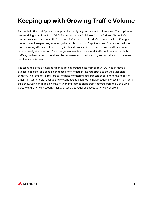# **Keeping up with Growing Traffic Volume**

The analysis Riverbed AppResponse provides is only as good as the data it receives. The appliance was receiving input from four 10G SPAN ports on Cook Children's Cisco 6509 and Nexus 7000 routers. However, half the traffic from these SPAN ports consisted of duplicate packets. Keysight can de-duplicate these packets, increasing the usable capacity of AppResponse. Congestion reduces the processing efficiency of monitoring tools and can lead to dropped packets and inaccurate results. Keysight ensures AppReponse gets a clean feed of network traffic for it to analyze. With traffic growth expected to continue, the team needed to reduce congestion at the tool to increase confidence in its results.

The team deployed a Keysight Vision NPB to aggregate data from all four 10G links, remove all duplicate packets, and send a condensed flow of data at line-rate speed to the AppResponse solution. The Keysight NPB filters out-of-band monitoring data packets according to the needs of other monitoring tools. It sends the relevant data to each tool simultaneously, increasing monitoring efficiency. Using an NPB allows the networking team to share traffic packets from the Cisco SPAN ports with the network security manager, who also requires access to network packets.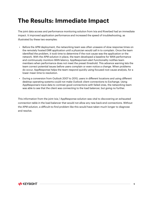# **The Results: Immediate Impact**

The joint data access and performance monitoring solution from Ixia and Riverbed had an immediate impact. It improved application performance and increased the speed of troubleshooting, as illustrated by these two examples:

- Before the APM deployment, the networking team was often unaware of slow response times on the remotely hosted EMR application until a physician would call in to complain. Once the team identified the problem, it took time to determine if the root cause was the application or the network. With the APM solution in place, the team developed a baseline for WAN performance and continuously monitors WAN latency. AppResponse's alert functionality notifies team members when performance does not meet the preset threshold. This advance warning lets the team correct potential issues before users complain or even notice a change. When problems do occur, AppResponse helps the team respond quickly using focused root cause analysis, for a lower mean time to resolution.
- During a conversion from Outlook 2007 to 2010, users in different locations and using different desktop operating systems could not make Outlook client connections to Exchange. Using AppResponse's trace data to contrast good connections with failed ones, the networking team was able to see that the client was connecting to the load balancer, but going no further.

This information from the joint Ixia / AppResponse solution was vital to discovering an exhausted connection table in the load balancer that would not allow any new back-end connections. Without the APM solution, a difficult-to-find problem like this would have taken much longer to diagnose and resolve.